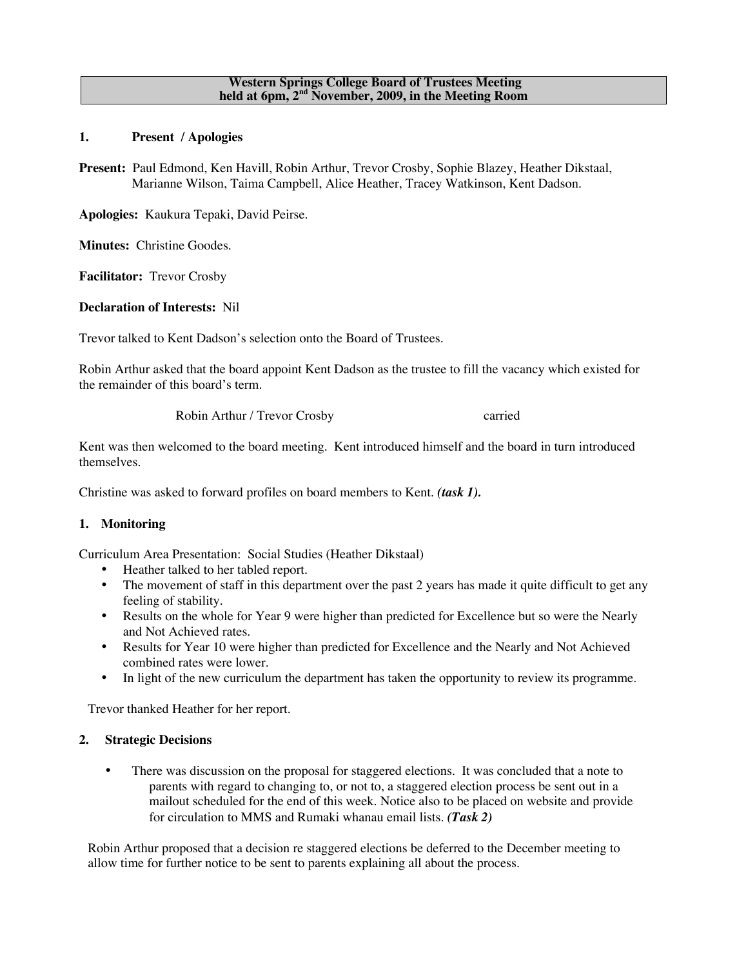#### **Western Springs College Board of Trustees Meeting held at 6pm, 2nd November, 2009, in the Meeting Room**

**1. Present / Apologies**

**Present:** Paul Edmond, Ken Havill, Robin Arthur, Trevor Crosby, Sophie Blazey, Heather Dikstaal, Marianne Wilson, Taima Campbell, Alice Heather, Tracey Watkinson, Kent Dadson.

**Apologies:** Kaukura Tepaki, David Peirse.

**Minutes:** Christine Goodes.

**Facilitator:** Trevor Crosby

**Declaration of Interests:** Nil

Trevor talked to Kent Dadson's selection onto the Board of Trustees.

Robin Arthur asked that the board appoint Kent Dadson as the trustee to fill the vacancy which existed for the remainder of this board's term.

Robin Arthur / Trevor Crosby carried

Kent was then welcomed to the board meeting. Kent introduced himself and the board in turn introduced themselves.

Christine was asked to forward profiles on board members to Kent. *(task 1).*

# **1. Monitoring**

Curriculum Area Presentation: Social Studies (Heather Dikstaal)

- Heather talked to her tabled report.
- The movement of staff in this department over the past 2 years has made it quite difficult to get any feeling of stability.
- Results on the whole for Year 9 were higher than predicted for Excellence but so were the Nearly and Not Achieved rates.
- Results for Year 10 were higher than predicted for Excellence and the Nearly and Not Achieved combined rates were lower.
- In light of the new curriculum the department has taken the opportunity to review its programme.

Trevor thanked Heather for her report.

# **2. Strategic Decisions**

There was discussion on the proposal for staggered elections. It was concluded that a note to parents with regard to changing to, or not to, a staggered election process be sent out in a mailout scheduled for the end of this week. Notice also to be placed on website and provide for circulation to MMS and Rumaki whanau email lists. *(Task 2)*

Robin Arthur proposed that a decision re staggered elections be deferred to the December meeting to allow time for further notice to be sent to parents explaining all about the process.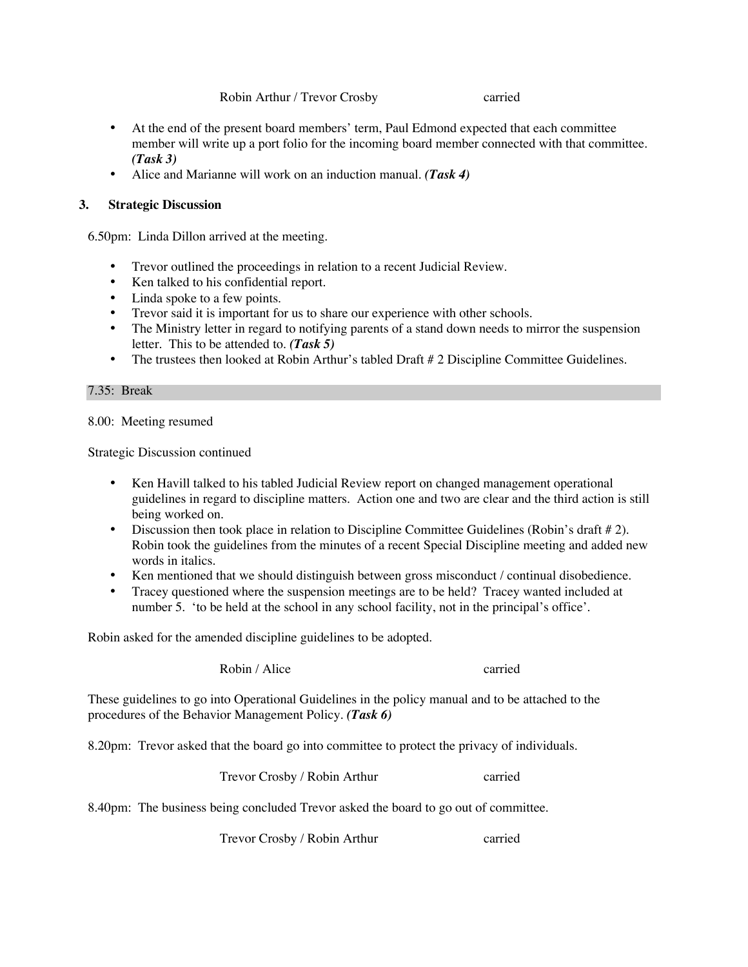Robin Arthur / Trevor Crosby carried

- At the end of the present board members' term, Paul Edmond expected that each committee member will write up a port folio for the incoming board member connected with that committee. *(Task 3)*
- Alice and Marianne will work on an induction manual. *(Task 4)*

# **3. Strategic Discussion**

6.50pm: Linda Dillon arrived at the meeting.

- Trevor outlined the proceedings in relation to a recent Judicial Review.
- Ken talked to his confidential report.
- Linda spoke to a few points.
- Trevor said it is important for us to share our experience with other schools.
- The Ministry letter in regard to notifying parents of a stand down needs to mirror the suspension letter. This to be attended to. *(Task 5)*
- The trustees then looked at Robin Arthur's tabled Draft # 2 Discipline Committee Guidelines.

### 7.35: Break

8.00: Meeting resumed

Strategic Discussion continued

- Ken Havill talked to his tabled Judicial Review report on changed management operational guidelines in regard to discipline matters. Action one and two are clear and the third action is still being worked on.
- Discussion then took place in relation to Discipline Committee Guidelines (Robin's draft # 2). Robin took the guidelines from the minutes of a recent Special Discipline meeting and added new words in italics.
- Ken mentioned that we should distinguish between gross misconduct / continual disobedience.
- Tracey questioned where the suspension meetings are to be held? Tracey wanted included at number 5. 'to be held at the school in any school facility, not in the principal's office'.

Robin asked for the amended discipline guidelines to be adopted.

Robin / Alice carried

These guidelines to go into Operational Guidelines in the policy manual and to be attached to the procedures of the Behavior Management Policy. *(Task 6)*

8.20pm: Trevor asked that the board go into committee to protect the privacy of individuals.

Trevor Crosby / Robin Arthur carried

8.40pm: The business being concluded Trevor asked the board to go out of committee.

Trevor Crosby / Robin Arthur carried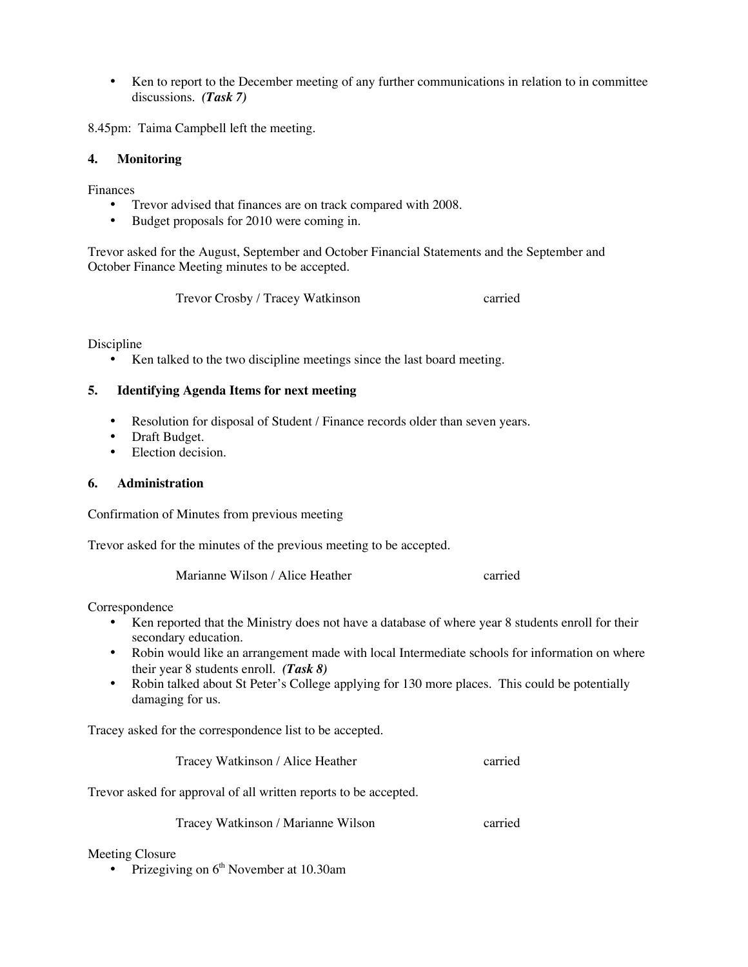• Ken to report to the December meeting of any further communications in relation to in committee discussions. *(Task 7)*

8.45pm: Taima Campbell left the meeting.

### **4. Monitoring**

Finances

- Trevor advised that finances are on track compared with 2008.<br>• Budget proposals for 2010 were coming in.
- Budget proposals for 2010 were coming in.

Trevor asked for the August, September and October Financial Statements and the September and October Finance Meeting minutes to be accepted.

Trevor Crosby / Tracey Watkinson carried

Discipline

• Ken talked to the two discipline meetings since the last board meeting.

### **5. Identifying Agenda Items for next meeting**

- Resolution for disposal of Student / Finance records older than seven years.
- Draft Budget.
- Election decision.

## **6. Administration**

Confirmation of Minutes from previous meeting

Trevor asked for the minutes of the previous meeting to be accepted.

Marianne Wilson / Alice Heather carried

Correspondence

- Ken reported that the Ministry does not have a database of where year 8 students enroll for their secondary education.
- Robin would like an arrangement made with local Intermediate schools for information on where their year 8 students enroll. *(Task 8)*
- Robin talked about St Peter's College applying for 130 more places. This could be potentially damaging for us.

Tracey asked for the correspondence list to be accepted.

Tracey Watkinson / Alice Heather carried

Trevor asked for approval of all written reports to be accepted.

Tracey Watkinson / Marianne Wilson carried

#### Meeting Closure

• Prizegiving on  $6<sup>th</sup>$  November at 10.30am